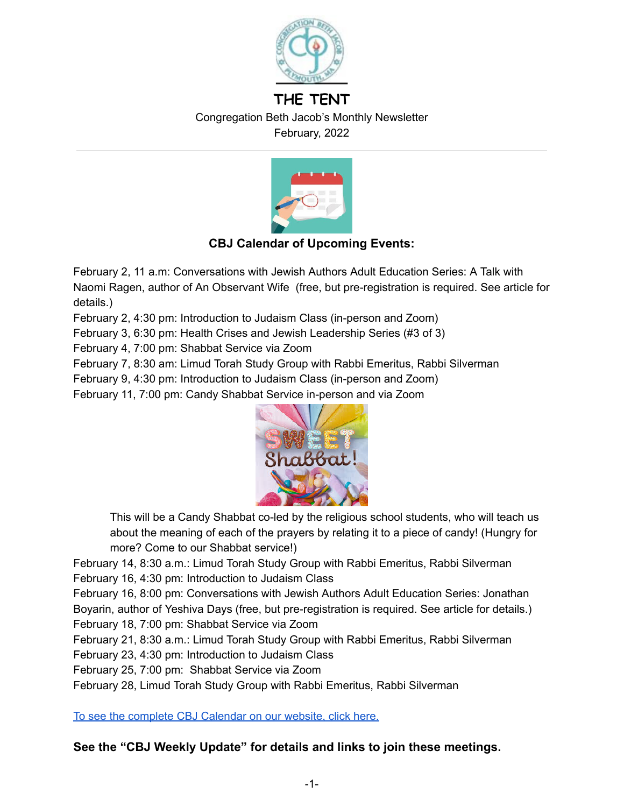

# **THE TENT** Congregation Beth Jacob's Monthly Newsletter February, 2022



# **CBJ Calendar of Upcoming Events:**

February 2, 11 a.m: Conversations with Jewish Authors Adult Education Series: A Talk with Naomi Ragen, author of An Observant Wife (free, but pre-registration is required. See article for details.)

February 2, 4:30 pm: Introduction to Judaism Class (in-person and Zoom)

February 3, 6:30 pm: Health Crises and Jewish Leadership Series (#3 of 3)

February 4, 7:00 pm: Shabbat Service via Zoom

February 7, 8:30 am: Limud Torah Study Group with Rabbi Emeritus, Rabbi Silverman

February 9, 4:30 pm: Introduction to Judaism Class (in-person and Zoom)

February 11, 7:00 pm: Candy Shabbat Service in-person and via Zoom



This will be a Candy Shabbat co-led by the religious school students, who will teach us about the meaning of each of the prayers by relating it to a piece of candy! (Hungry for more? Come to our Shabbat service!)

February 14, 8:30 a.m.: Limud Torah Study Group with Rabbi Emeritus, Rabbi Silverman

February 16, 4:30 pm: Introduction to Judaism Class

February 16, 8:00 pm: Conversations with Jewish Authors Adult Education Series: Jonathan

Boyarin, author of Yeshiva Days (free, but pre-registration is required. See article for details.)

February 18, 7:00 pm: Shabbat Service via Zoom

February 21, 8:30 a.m.: Limud Torah Study Group with Rabbi Emeritus, Rabbi Silverman

February 23, 4:30 pm: Introduction to Judaism Class

February 25, 7:00 pm: Shabbat Service via Zoom

February 28, Limud Torah Study Group with Rabbi Emeritus, Rabbi Silverman

To see the complete CBJ [Calendar](https://www.cbjplymouth.org/calendar/upcoming-events) on our website, click here.

## **See the "CBJ Weekly Update" for details and links to join these meetings.**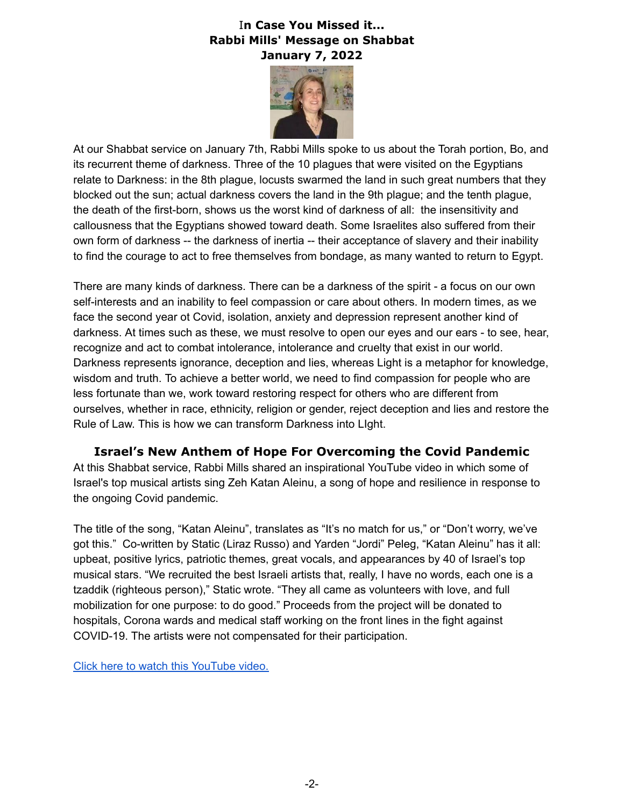### I**n Case You Missed it... Rabbi Mills' Message on Shabbat January 7, 2022**



At our Shabbat service on January 7th, Rabbi Mills spoke to us about the Torah portion, Bo, and its recurrent theme of darkness. Three of the 10 plagues that were visited on the Egyptians relate to Darkness: in the 8th plague, locusts swarmed the land in such great numbers that they blocked out the sun; actual darkness covers the land in the 9th plague; and the tenth plague, the death of the first-born, shows us the worst kind of darkness of all: the insensitivity and callousness that the Egyptians showed toward death. Some Israelites also suffered from their own form of darkness -- the darkness of inertia -- their acceptance of slavery and their inability to find the courage to act to free themselves from bondage, as many wanted to return to Egypt.

There are many kinds of darkness. There can be a darkness of the spirit - a focus on our own self-interests and an inability to feel compassion or care about others. In modern times, as we face the second year ot Covid, isolation, anxiety and depression represent another kind of darkness. At times such as these, we must resolve to open our eyes and our ears - to see, hear, recognize and act to combat intolerance, intolerance and cruelty that exist in our world. Darkness represents ignorance, deception and lies, whereas Light is a metaphor for knowledge, wisdom and truth. To achieve a better world, we need to find compassion for people who are less fortunate than we, work toward restoring respect for others who are different from ourselves, whether in race, ethnicity, religion or gender, reject deception and lies and restore the Rule of Law. This is how we can transform Darkness into LIght.

**Israel's New Anthem of Hope For Overcoming the Covid Pandemic** At this Shabbat service, Rabbi Mills shared an inspirational YouTube video in which some of Israel's top musical artists sing Zeh Katan Aleinu, a song of hope and resilience in response to the ongoing Covid pandemic.

The title of the song, "Katan Aleinu", translates as "It's no match for us," or "Don't worry, we've got this." Co-written by Static (Liraz Russo) and Yarden "Jordi" Peleg, "Katan Aleinu" has it all: upbeat, positive lyrics, patriotic themes, great vocals, and appearances by 40 of Israel's top musical stars. "We recruited the best Israeli artists that, really, I have no words, each one is a tzaddik (righteous person)," Static wrote. "They all came as volunteers with love, and full mobilization for one purpose: to do good." Proceeds from the project will be donated to hospitals, Corona wards and medical staff working on the front lines in the fight against COVID-19. The artists were not compensated for their participation.

Click here to watch this [YouTube](https://m.youtube.com/watch?v=58AjdhGSaTU) video.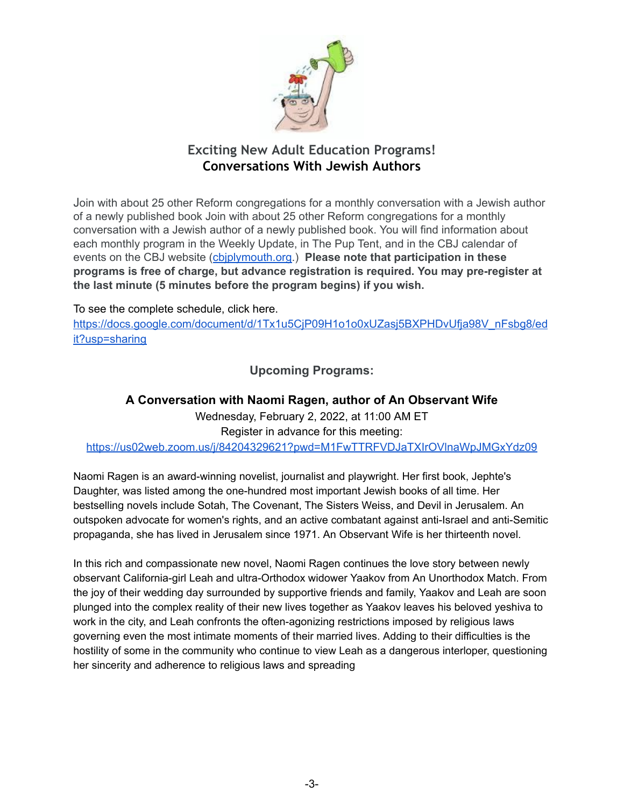

# **Exciting New Adult Education Programs! Conversations With Jewish Authors**

Join with about 25 other Reform congregations for a monthly conversation with a Jewish author of a newly published book Join with about 25 other Reform congregations for a monthly conversation with a Jewish author of a newly published book. You will find information about each monthly program in the Weekly Update, in The Pup Tent, and in the CBJ calendar of events on the CBJ website ([cbjplymouth.org](http://cbjplymouth.org/).) **Please note that participation in these programs is free of charge, but advance registration is required. You may pre-register at the last minute (5 minutes before the program begins) if you wish.**

To see the complete schedule, click here.

[https://docs.google.com/document/d/1Tx1u5CjP09H1o1o0xUZasj5BXPHDvUfja98V\\_nFsbg8/ed](https://docs.google.com/document/d/1Tx1u5CjP09H1o1o0xUZasj5BXPHDvUfja98V_nFsbg8/edit?usp=sharing) [it?usp=sharing](https://docs.google.com/document/d/1Tx1u5CjP09H1o1o0xUZasj5BXPHDvUfja98V_nFsbg8/edit?usp=sharing)

**Upcoming Programs:**

### **A Conversation with Naomi Ragen, author of An Observant Wife**

Wednesday, February 2, 2022, at 11:00 AM ET Register in advance for this meeting: <https://us02web.zoom.us/j/84204329621?pwd=M1FwTTRFVDJaTXIrOVlnaWpJMGxYdz09>

Naomi Ragen is an award-winning novelist, journalist and playwright. Her first book, Jephte's Daughter, was listed among the one-hundred most important Jewish books of all time. Her bestselling novels include Sotah, The Covenant, The Sisters Weiss, and Devil in Jerusalem. An outspoken advocate for women's rights, and an active combatant against anti-Israel and anti-Semitic propaganda, she has lived in Jerusalem since 1971. An Observant Wife is her thirteenth novel.

In this rich and compassionate new novel, Naomi Ragen continues the love story between newly observant California-girl Leah and ultra-Orthodox widower Yaakov from An Unorthodox Match. From the joy of their wedding day surrounded by supportive friends and family, Yaakov and Leah are soon plunged into the complex reality of their new lives together as Yaakov leaves his beloved yeshiva to work in the city, and Leah confronts the often-agonizing restrictions imposed by religious laws governing even the most intimate moments of their married lives. Adding to their difficulties is the hostility of some in the community who continue to view Leah as a dangerous interloper, questioning her sincerity and adherence to religious laws and spreading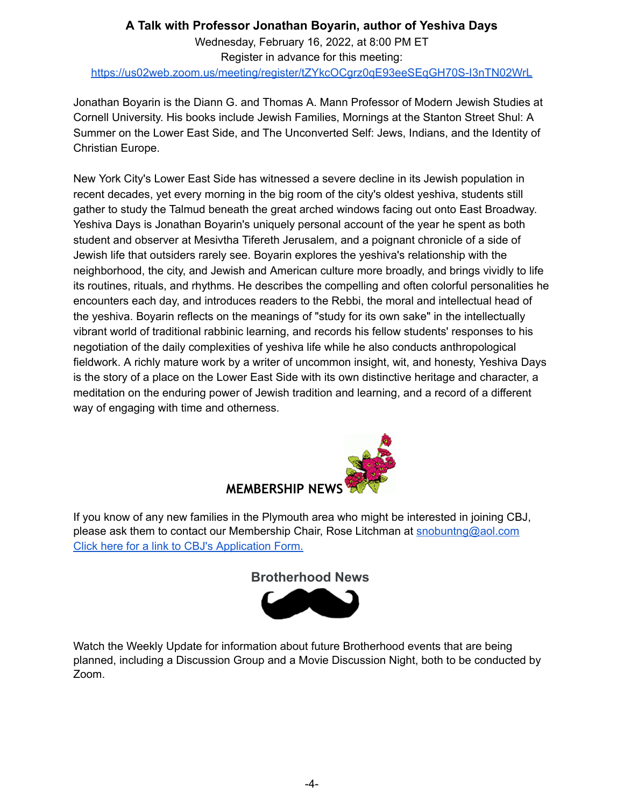# **A Talk with Professor Jonathan Boyarin, author of Yeshiva Days** Wednesday, February 16, 2022, at 8:00 PM ET Register in advance for this meeting: <https://us02web.zoom.us/meeting/register/tZYkcOCgrz0qE93eeSEqGH70S-I3nTN02WrL>

Jonathan Boyarin is the Diann G. and Thomas A. Mann Professor of Modern Jewish Studies at Cornell University. His books include Jewish Families, Mornings at the Stanton Street Shul: A Summer on the Lower East Side, and The Unconverted Self: Jews, Indians, and the Identity of Christian Europe.

New York City's Lower East Side has witnessed a severe decline in its Jewish population in recent decades, yet every morning in the big room of the city's oldest yeshiva, students still gather to study the Talmud beneath the great arched windows facing out onto East Broadway. Yeshiva Days is Jonathan Boyarin's uniquely personal account of the year he spent as both student and observer at Mesivtha Tifereth Jerusalem, and a poignant chronicle of a side of Jewish life that outsiders rarely see. Boyarin explores the yeshiva's relationship with the neighborhood, the city, and Jewish and American culture more broadly, and brings vividly to life its routines, rituals, and rhythms. He describes the compelling and often colorful personalities he encounters each day, and introduces readers to the Rebbi, the moral and intellectual head of the yeshiva. Boyarin reflects on the meanings of "study for its own sake" in the intellectually vibrant world of traditional rabbinic learning, and records his fellow students' responses to his negotiation of the daily complexities of yeshiva life while he also conducts anthropological fieldwork. A richly mature work by a writer of uncommon insight, wit, and honesty, Yeshiva Days is the story of a place on the Lower East Side with its own distinctive heritage and character, a meditation on the enduring power of Jewish tradition and learning, and a record of a different way of engaging with time and otherness.



If you know of any new families in the Plymouth area who might be interested in joining CBJ, please ask them to contact our Membership Chair, Rose Litchman at [snobuntng@aol.com](mailto:snobuntng@aol.com) Click here for a link to CBJ's [Application](https://www.cbjplymouth.org/join/membership-form) Form.



Watch the Weekly Update for information about future Brotherhood events that are being planned, including a Discussion Group and a Movie Discussion Night, both to be conducted by Zoom.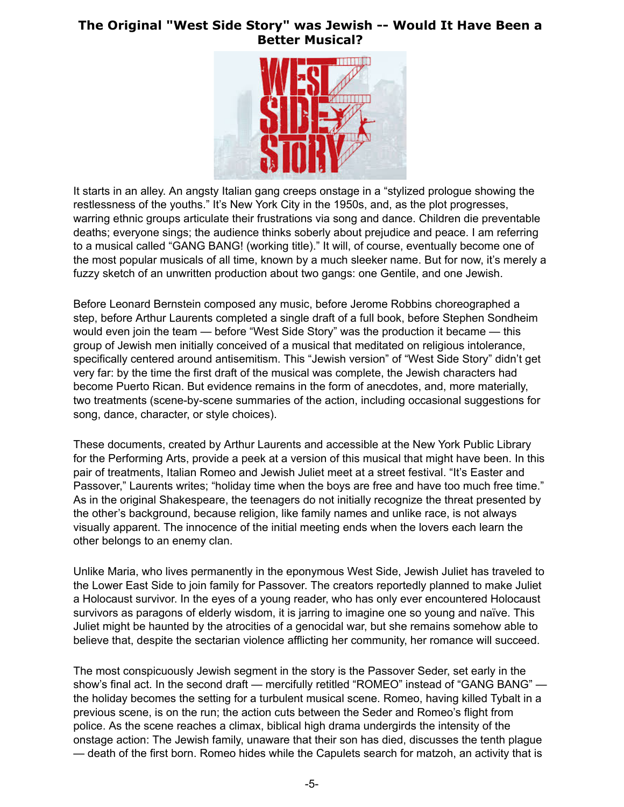### **The Original "West Side Story" was Jewish -- Would It Have Been a Better Musical?**



It starts in an alley. An angsty Italian gang creeps onstage in a "stylized prologue showing the restlessness of the youths." It's New York City in the 1950s, and, as the plot progresses, warring ethnic groups articulate their frustrations via song and dance. Children die preventable deaths; everyone sings; the audience thinks soberly about prejudice and peace. I am referring to a musical called "GANG BANG! (working title)." It will, of course, eventually become one of the most popular musicals of all time, known by a much sleeker name. But for now, it's merely a fuzzy sketch of an unwritten production about two gangs: one Gentile, and one Jewish.

Before Leonard Bernstein composed any music, before Jerome Robbins choreographed a step, before Arthur Laurents completed a single draft of a full book, before Stephen Sondheim would even join the team — before "West Side Story" was the production it became — this group of Jewish men initially conceived of a musical that meditated on religious intolerance, specifically centered around antisemitism. This "Jewish version" of "West Side Story" didn't get very far: by the time the first draft of the musical was complete, the Jewish characters had become Puerto Rican. But evidence remains in the form of anecdotes, and, more materially, two treatments (scene-by-scene summaries of the action, including occasional suggestions for song, dance, character, or style choices).

These documents, created by Arthur Laurents and accessible at the New York Public Library for the Performing Arts, provide a peek at a version of this musical that might have been. In this pair of treatments, Italian Romeo and Jewish Juliet meet at a street festival. "It's Easter and Passover," Laurents writes; "holiday time when the boys are free and have too much free time." As in the original Shakespeare, the teenagers do not initially recognize the threat presented by the other's background, because religion, like family names and unlike race, is not always visually apparent. The innocence of the initial meeting ends when the lovers each learn the other belongs to an enemy clan.

Unlike Maria, who lives permanently in the eponymous West Side, Jewish Juliet has traveled to the Lower East Side to join family for Passover. The creators reportedly planned to make Juliet a Holocaust survivor. In the eyes of a young reader, who has only ever encountered Holocaust survivors as paragons of elderly wisdom, it is jarring to imagine one so young and naïve. This Juliet might be haunted by the atrocities of a genocidal war, but she remains somehow able to believe that, despite the sectarian violence afflicting her community, her romance will succeed.

The most conspicuously Jewish segment in the story is the Passover Seder, set early in the show's final act. In the second draft — mercifully retitled "ROMEO" instead of "GANG BANG" the holiday becomes the setting for a turbulent musical scene. Romeo, having killed Tybalt in a previous scene, is on the run; the action cuts between the Seder and Romeo's flight from police. As the scene reaches a climax, biblical high drama undergirds the intensity of the onstage action: The Jewish family, unaware that their son has died, discusses the tenth plague — death of the first born. Romeo hides while the Capulets search for matzoh, an activity that is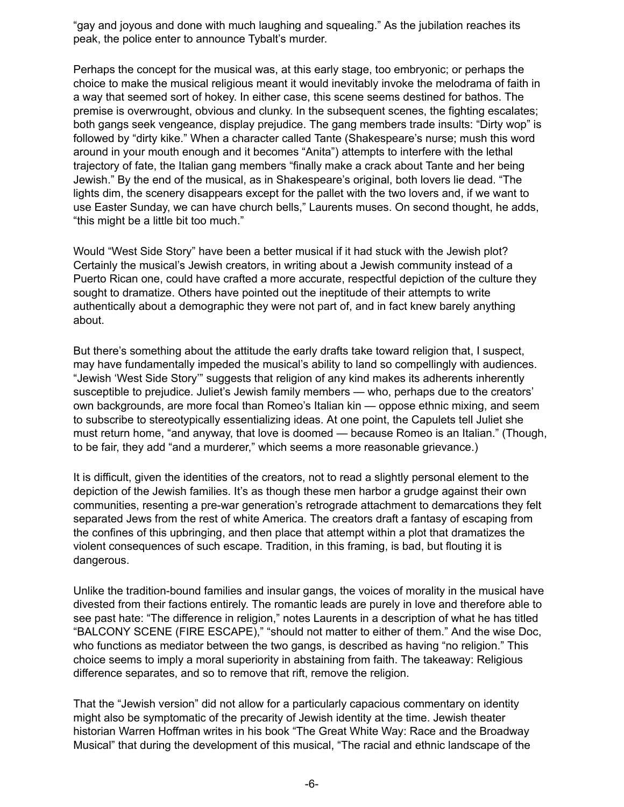"gay and joyous and done with much laughing and squealing." As the jubilation reaches its peak, the police enter to announce Tybalt's murder.

Perhaps the concept for the musical was, at this early stage, too embryonic; or perhaps the choice to make the musical religious meant it would inevitably invoke the melodrama of faith in a way that seemed sort of hokey. In either case, this scene seems destined for bathos. The premise is overwrought, obvious and clunky. In the subsequent scenes, the fighting escalates; both gangs seek vengeance, display prejudice. The gang members trade insults: "Dirty wop" is followed by "dirty kike." When a character called Tante (Shakespeare's nurse; mush this word around in your mouth enough and it becomes "Anita") attempts to interfere with the lethal trajectory of fate, the Italian gang members "finally make a crack about Tante and her being Jewish." By the end of the musical, as in Shakespeare's original, both lovers lie dead. "The lights dim, the scenery disappears except for the pallet with the two lovers and, if we want to use Easter Sunday, we can have church bells," Laurents muses. On second thought, he adds, "this might be a little bit too much."

Would "West Side Story" have been a better musical if it had stuck with the Jewish plot? Certainly the musical's Jewish creators, in writing about a Jewish community instead of a Puerto Rican one, could have crafted a more accurate, respectful depiction of the culture they sought to dramatize. Others have pointed out the ineptitude of their attempts to write authentically about a demographic they were not part of, and in fact knew barely anything about.

But there's something about the attitude the early drafts take toward religion that, I suspect, may have fundamentally impeded the musical's ability to land so compellingly with audiences. "Jewish 'West Side Story'" suggests that religion of any kind makes its adherents inherently susceptible to prejudice. Juliet's Jewish family members — who, perhaps due to the creators' own backgrounds, are more focal than Romeo's Italian kin — oppose ethnic mixing, and seem to subscribe to stereotypically essentializing ideas. At one point, the Capulets tell Juliet she must return home, "and anyway, that love is doomed — because Romeo is an Italian." (Though, to be fair, they add "and a murderer," which seems a more reasonable grievance.)

It is difficult, given the identities of the creators, not to read a slightly personal element to the depiction of the Jewish families. It's as though these men harbor a grudge against their own communities, resenting a pre-war generation's retrograde attachment to demarcations they felt separated Jews from the rest of white America. The creators draft a fantasy of escaping from the confines of this upbringing, and then place that attempt within a plot that dramatizes the violent consequences of such escape. Tradition, in this framing, is bad, but flouting it is dangerous.

Unlike the tradition-bound families and insular gangs, the voices of morality in the musical have divested from their factions entirely. The romantic leads are purely in love and therefore able to see past hate: "The difference in religion," notes Laurents in a description of what he has titled "BALCONY SCENE (FIRE ESCAPE)," "should not matter to either of them." And the wise Doc, who functions as mediator between the two gangs, is described as having "no religion." This choice seems to imply a moral superiority in abstaining from faith. The takeaway: Religious difference separates, and so to remove that rift, remove the religion.

That the "Jewish version" did not allow for a particularly capacious commentary on identity might also be symptomatic of the precarity of Jewish identity at the time. Jewish theater historian Warren Hoffman writes in his book "The Great White Way: Race and the Broadway Musical" that during the development of this musical, "The racial and ethnic landscape of the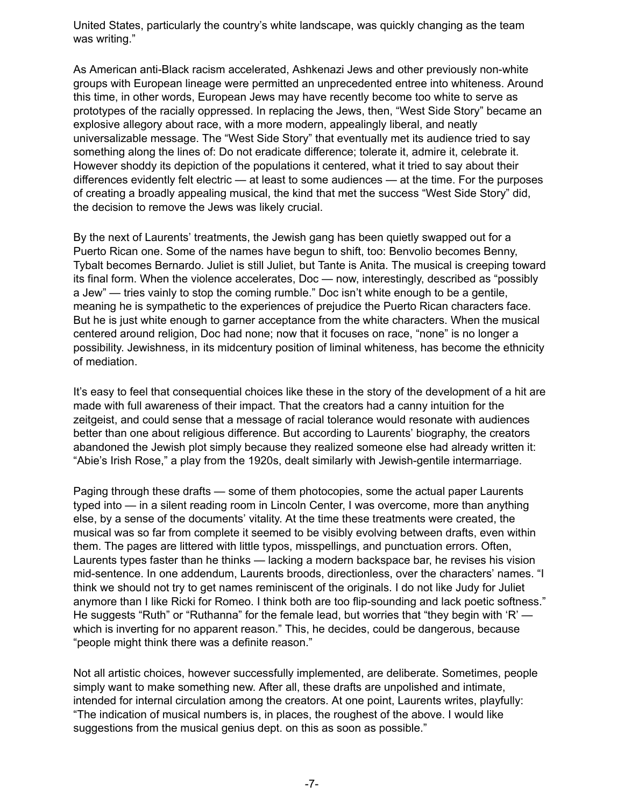United States, particularly the country's white landscape, was quickly changing as the team was writing."

As American anti-Black racism accelerated, Ashkenazi Jews and other previously non-white groups with European lineage were permitted an unprecedented entree into whiteness. Around this time, in other words, European Jews may have recently become too white to serve as prototypes of the racially oppressed. In replacing the Jews, then, "West Side Story" became an explosive allegory about race, with a more modern, appealingly liberal, and neatly universalizable message. The "West Side Story" that eventually met its audience tried to say something along the lines of: Do not eradicate difference; tolerate it, admire it, celebrate it. However shoddy its depiction of the populations it centered, what it tried to say about their differences evidently felt electric — at least to some audiences — at the time. For the purposes of creating a broadly appealing musical, the kind that met the success "West Side Story" did, the decision to remove the Jews was likely crucial.

By the next of Laurents' treatments, the Jewish gang has been quietly swapped out for a Puerto Rican one. Some of the names have begun to shift, too: Benvolio becomes Benny, Tybalt becomes Bernardo. Juliet is still Juliet, but Tante is Anita. The musical is creeping toward its final form. When the violence accelerates, Doc — now, interestingly, described as "possibly a Jew" — tries vainly to stop the coming rumble." Doc isn't white enough to be a gentile, meaning he is sympathetic to the experiences of prejudice the Puerto Rican characters face. But he is just white enough to garner acceptance from the white characters. When the musical centered around religion, Doc had none; now that it focuses on race, "none" is no longer a possibility. Jewishness, in its midcentury position of liminal whiteness, has become the ethnicity of mediation.

It's easy to feel that consequential choices like these in the story of the development of a hit are made with full awareness of their impact. That the creators had a canny intuition for the zeitgeist, and could sense that a message of racial tolerance would resonate with audiences better than one about religious difference. But according to Laurents' biography, the creators abandoned the Jewish plot simply because they realized someone else had already written it: "Abie's Irish Rose," a play from the 1920s, dealt similarly with Jewish-gentile intermarriage.

Paging through these drafts — some of them photocopies, some the actual paper Laurents typed into — in a silent reading room in Lincoln Center, I was overcome, more than anything else, by a sense of the documents' vitality. At the time these treatments were created, the musical was so far from complete it seemed to be visibly evolving between drafts, even within them. The pages are littered with little typos, misspellings, and punctuation errors. Often, Laurents types faster than he thinks — lacking a modern backspace bar, he revises his vision mid-sentence. In one addendum, Laurents broods, directionless, over the characters' names. "I think we should not try to get names reminiscent of the originals. I do not like Judy for Juliet anymore than I like Ricki for Romeo. I think both are too flip-sounding and lack poetic softness." He suggests "Ruth" or "Ruthanna" for the female lead, but worries that "they begin with 'R' which is inverting for no apparent reason." This, he decides, could be dangerous, because "people might think there was a definite reason."

Not all artistic choices, however successfully implemented, are deliberate. Sometimes, people simply want to make something new. After all, these drafts are unpolished and intimate, intended for internal circulation among the creators. At one point, Laurents writes, playfully: "The indication of musical numbers is, in places, the roughest of the above. I would like suggestions from the musical genius dept. on this as soon as possible."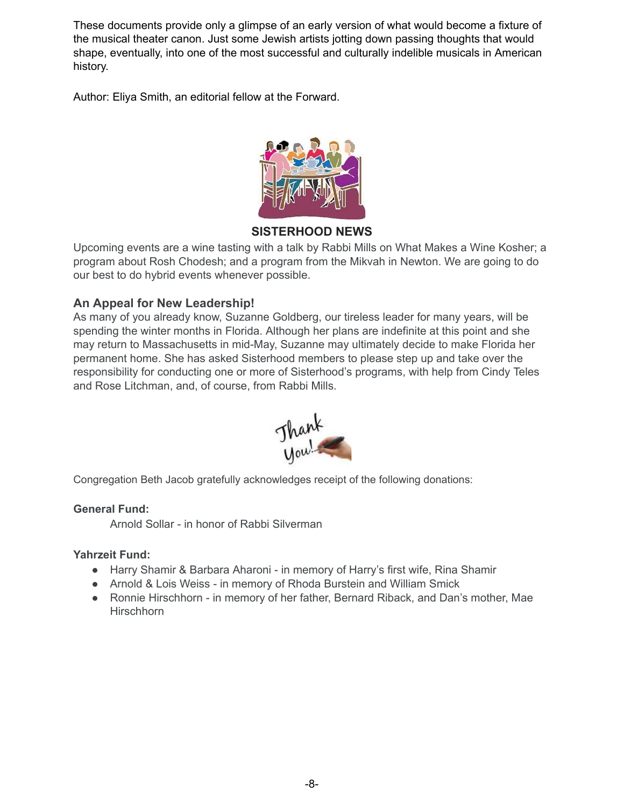These documents provide only a glimpse of an early version of what would become a fixture of the musical theater canon. Just some Jewish artists jotting down passing thoughts that would shape, eventually, into one of the most successful and culturally indelible musicals in American history.

Author: Eliya Smith, an editorial fellow at the Forward.



# **SISTERHOOD NEWS**

Upcoming events are a wine tasting with a talk by Rabbi Mills on What Makes a Wine Kosher; a program about Rosh Chodesh; and a program from the Mikvah in Newton. We are going to do our best to do hybrid events whenever possible.

### **An Appeal for New Leadership!**

As many of you already know, Suzanne Goldberg, our tireless leader for many years, will be spending the winter months in Florida. Although her plans are indefinite at this point and she may return to Massachusetts in mid-May, Suzanne may ultimately decide to make Florida her permanent home. She has asked Sisterhood members to please step up and take over the responsibility for conducting one or more of Sisterhood's programs, with help from Cindy Teles and Rose Litchman, and, of course, from Rabbi Mills.



Congregation Beth Jacob gratefully acknowledges receipt of the following donations:

### **General Fund:**

Arnold Sollar - in honor of Rabbi Silverman

### **Yahrzeit Fund:**

- Harry Shamir & Barbara Aharoni in memory of Harry's first wife, Rina Shamir
- Arnold & Lois Weiss in memory of Rhoda Burstein and William Smick
- Ronnie Hirschhorn in memory of her father, Bernard Riback, and Dan's mother, Mae **Hirschhorn**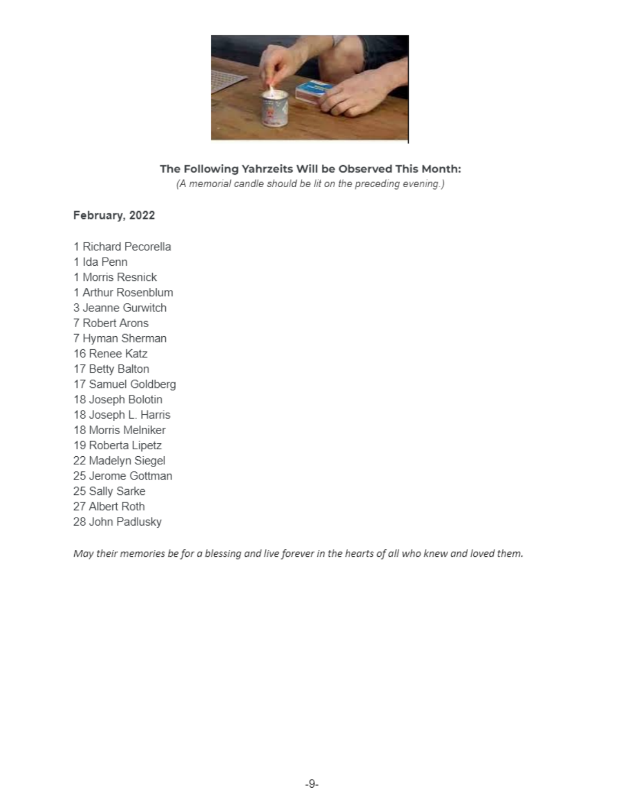

### The Following Yahrzeits Will be Observed This Month:

(A memorial candle should be lit on the preceding evening.)

#### February, 2022

1 Richard Pecorella 1 Ida Penn 1 Morris Resnick 1 Arthur Rosenblum 3 Jeanne Gurwitch 7 Robert Arons 7 Hyman Sherman 16 Renee Katz 17 Betty Balton 17 Samuel Goldberg 18 Joseph Bolotin 18 Joseph L. Harris 18 Morris Melniker 19 Roberta Lipetz 22 Madelyn Siegel 25 Jerome Gottman 25 Sally Sarke 27 Albert Roth 28 John Padlusky

May their memories be for a blessing and live forever in the hearts of all who knew and loved them.